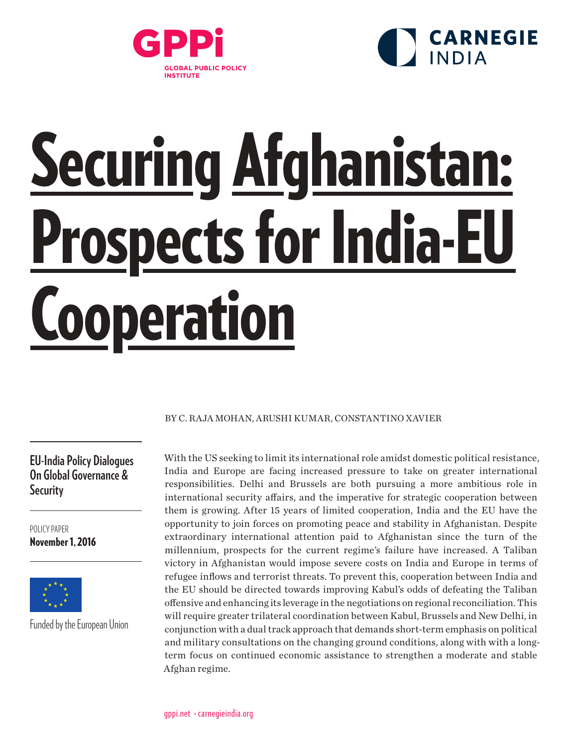



# Securing Afghanistan: Prospects for India-EU **Cooperation**

### BY C. RAJA MOHAN, ARUSHI KUMAR, CONSTANTINO XAVIER

**EU-India Policy Dialogues On Global Governance & Security**

POLICY PAPER November 1, 2016



Funded by the European Union

With the US seeking to limit its international role amidst domestic political resistance, India and Europe are facing increased pressure to take on greater international responsibilities. Delhi and Brussels are both pursuing a more ambitious role in international security affairs, and the imperative for strategic cooperation between them is growing. After 15 years of limited cooperation, India and the EU have the opportunity to join forces on promoting peace and stability in Afghanistan. Despite extraordinary international attention paid to Afghanistan since the turn of the millennium, prospects for the current regime's failure have increased. A Taliban victory in Afghanistan would impose severe costs on India and Europe in terms of refugee inflows and terrorist threats. To prevent this, cooperation between India and the EU should be directed towards improving Kabul's odds of defeating the Taliban offensive and enhancing its leverage in the negotiations on regional reconciliation. This will require greater trilateral coordination between Kabul, Brussels and New Delhi, in conjunction with a dual track approach that demands short-term emphasis on political and military consultations on the changing ground conditions, along with with a longterm focus on continued economic assistance to strengthen a moderate and stable Afghan regime.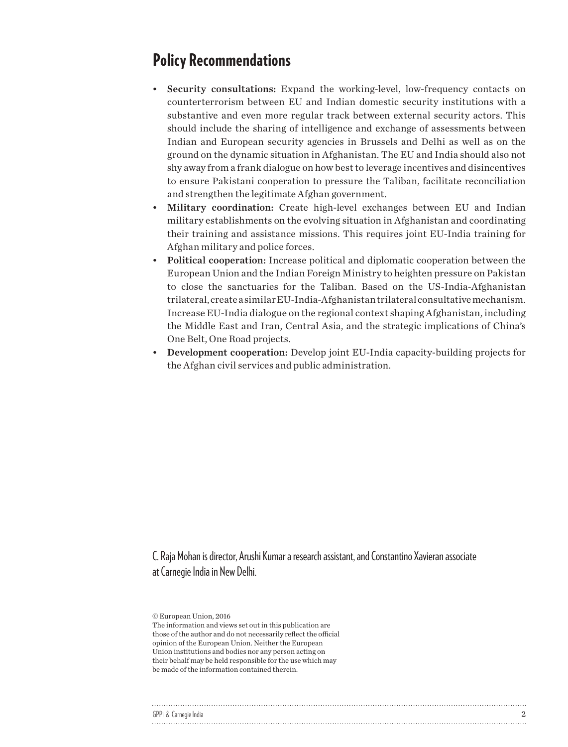# Policy Recommendations

- Security consultations: Expand the working-level, low-frequency contacts on counterterrorism between EU and Indian domestic security institutions with a substantive and even more regular track between external security actors. This should include the sharing of intelligence and exchange of assessments between Indian and European security agencies in Brussels and Delhi as well as on the ground on the dynamic situation in Afghanistan. The EU and India should also not shy away from a frank dialogue on how best to leverage incentives and disincentives to ensure Pakistani cooperation to pressure the Taliban, facilitate reconciliation and strengthen the legitimate Afghan government.
- Military coordination: Create high-level exchanges between EU and Indian military establishments on the evolving situation in Afghanistan and coordinating their training and assistance missions. This requires joint EU-India training for Afghan military and police forces.
- Political cooperation: Increase political and diplomatic cooperation between the European Union and the Indian Foreign Ministry to heighten pressure on Pakistan to close the sanctuaries for the Taliban. Based on the US-India-Afghanistan trilateral, create a similar EU-India-Afghanistan trilateral consultative mechanism. Increase EU-India dialogue on the regional context shaping Afghanistan, including the Middle East and Iran, Central Asia, and the strategic implications of China's One Belt, One Road projects.
- Development cooperation: Develop joint EU-India capacity-building projects for the Afghan civil services and public administration.

C. Raja Mohan is director, Arushi Kumar a research assistant, and Constantino Xavieran associate at Carnegie India in New Delhi.

The information and views set out in this publication are those of the author and do not necessarily reflect the official opinion of the European Union. Neither the European Union institutions and bodies nor any person acting on their behalf may be held responsible for the use which may be made of the information contained therein.

| GPPi & Carnegie India |  |
|-----------------------|--|
|                       |  |

<sup>©</sup> European Union, 2016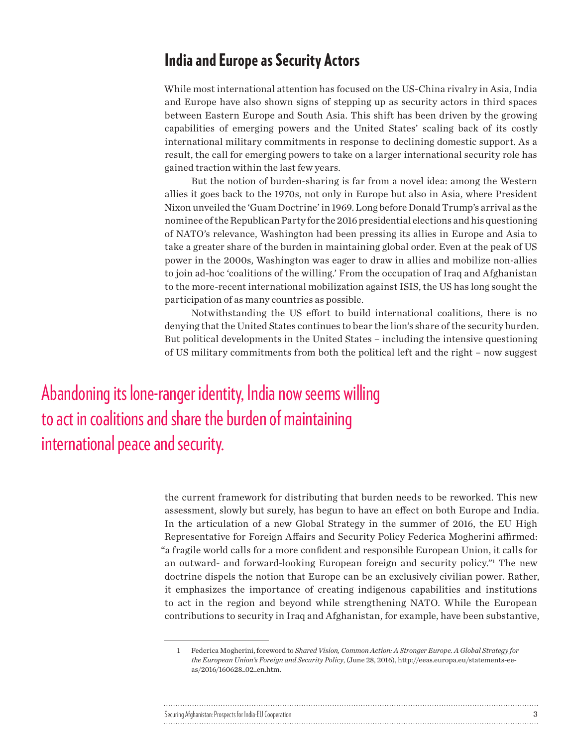## India and Europe as Security Actors

While most international attention has focused on the US-China rivalry in Asia, India and Europe have also shown signs of stepping up as security actors in third spaces between Eastern Europe and South Asia. This shift has been driven by the growing capabilities of emerging powers and the United States' scaling back of its costly international military commitments in response to declining domestic support. As a result, the call for emerging powers to take on a larger international security role has gained traction within the last few years.

But the notion of burden-sharing is far from a novel idea: among the Western allies it goes back to the 1970s, not only in Europe but also in Asia, where President Nixon unveiled the 'Guam Doctrine' in 1969. Long before Donald Trump's arrival as the nominee of the Republican Party for the 2016 presidential elections and his questioning of NATO's relevance, Washington had been pressing its allies in Europe and Asia to take a greater share of the burden in maintaining global order. Even at the peak of US power in the 2000s, Washington was eager to draw in allies and mobilize non-allies to join ad-hoc 'coalitions of the willing.' From the occupation of Iraq and Afghanistan to the more-recent international mobilization against ISIS, the US has long sought the participation of as many countries as possible.

Notwithstanding the US effort to build international coalitions, there is no denying that the United States continues to bear the lion's share of the security burden. But political developments in the United States – including the intensive questioning of US military commitments from both the political left and the right – now suggest

Abandoning its lone-ranger identity, India now seems willing to act in coalitions and share the burden of maintaining international peace and security.

> the current framework for distributing that burden needs to be reworked. This new assessment, slowly but surely, has begun to have an effect on both Europe and India. In the articulation of a new Global Strategy in the summer of 2016, the EU High Representative for Foreign Affairs and Security Policy Federica Mogherini affirmed: "a fragile world calls for a more confident and responsible European Union, it calls for an outward- and forward-looking European foreign and security policy."1 The new doctrine dispels the notion that Europe can be an exclusively civilian power. Rather, it emphasizes the importance of creating indigenous capabilities and institutions to act in the region and beyond while strengthening NATO. While the European contributions to security in Iraq and Afghanistan, for example, have been substantive,

<sup>1</sup> Federica Mogherini, foreword to *Shared Vision, Common Action: A Stronger Europe. A Global Strategy for the European Union's Foreign and Security Policy*, (June 28, 2016), http://eeas.europa.eu/statements-eeas/2016/160628\_02\_en.htm.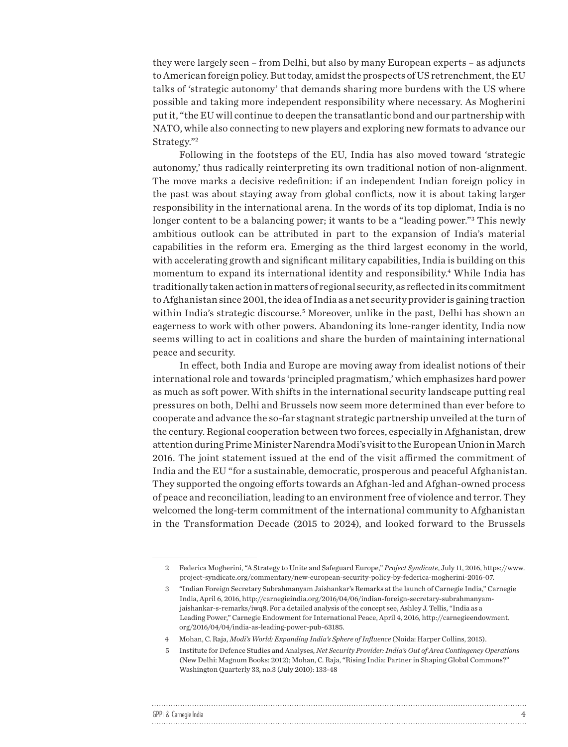they were largely seen – from Delhi, but also by many European experts – as adjuncts to American foreign policy. But today, amidst the prospects of US retrenchment, the EU talks of 'strategic autonomy' that demands sharing more burdens with the US where possible and taking more independent responsibility where necessary. As Mogherini put it, "the EU will continue to deepen the transatlantic bond and our partnership with NATO, while also connecting to new players and exploring new formats to advance our Strategy."2

Following in the footsteps of the EU, India has also moved toward 'strategic autonomy,' thus radically reinterpreting its own traditional notion of non-alignment. The move marks a decisive redefinition: if an independent Indian foreign policy in the past was about staying away from global conflicts, now it is about taking larger responsibility in the international arena. In the words of its top diplomat, India is no longer content to be a balancing power; it wants to be a "leading power."3 This newly ambitious outlook can be attributed in part to the expansion of India's material capabilities in the reform era. Emerging as the third largest economy in the world, with accelerating growth and significant military capabilities, India is building on this momentum to expand its international identity and responsibility.4 While India has traditionally taken action in matters of regional security, as reflected in its commitment to Afghanistan since 2001, the idea of India as a net security provider is gaining traction within India's strategic discourse.5 Moreover, unlike in the past, Delhi has shown an eagerness to work with other powers. Abandoning its lone-ranger identity, India now seems willing to act in coalitions and share the burden of maintaining international peace and security.

In effect, both India and Europe are moving away from idealist notions of their international role and towards 'principled pragmatism,' which emphasizes hard power as much as soft power. With shifts in the international security landscape putting real pressures on both, Delhi and Brussels now seem more determined than ever before to cooperate and advance the so-far stagnant strategic partnership unveiled at the turn of the century. Regional cooperation between two forces, especially in Afghanistan, drew attention during Prime Minister Narendra Modi's visit to the European Union in March 2016. The joint statement issued at the end of the visit affirmed the commitment of India and the EU "for a sustainable, democratic, prosperous and peaceful Afghanistan. They supported the ongoing efforts towards an Afghan-led and Afghan-owned process of peace and reconciliation, leading to an environment free of violence and terror. They welcomed the long-term commitment of the international community to Afghanistan in the Transformation Decade (2015 to 2024), and looked forward to the Brussels

 $\ddot{\phantom{a}}$ 

| GPPi & Carnegie India |  |
|-----------------------|--|
|                       |  |

<sup>2</sup> Federica Mogherini, "A Strategy to Unite and Safeguard Europe," *Project Syndicate*, July 11, 2016, https://www. project-syndicate.org/commentary/new-european-security-policy-by-federica-mogherini-2016-07.

<sup>3</sup> "Indian Foreign Secretary Subrahmanyam Jaishankar's Remarks at the launch of Carnegie India," Carnegie India, April 6, 2016, http://carnegieindia.org/2016/04/06/indian-foreign-secretary-subrahmanyamjaishankar-s-remarks/iwq8. For a detailed analysis of the concept see, Ashley J. Tellis, "India as a Leading Power," Carnegie Endowment for International Peace, April 4, 2016, http://carnegieendowment. org/2016/04/04/india-as-leading-power-pub-63185.

<sup>4</sup> Mohan, C. Raja, *Modi's World: Expanding India's Sphere of Influence* (Noida: Harper Collins, 2015).

<sup>5</sup> Institute for Defence Studies and Analyses, *Net Security Provider: India's Out of Area Contingency Operations* (New Delhi: Magnum Books: 2012); Mohan, C. Raja, "Rising India: Partner in Shaping Global Commons?" Washington Quarterly 33, no.3 (July 2010): 133-48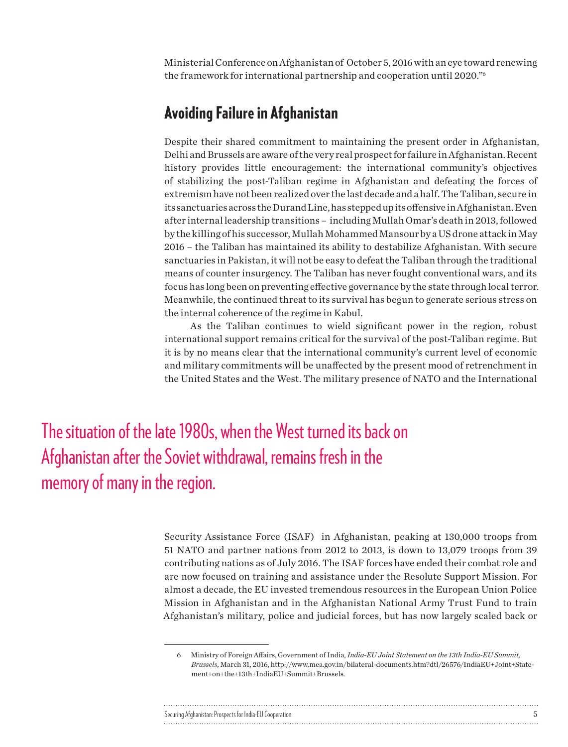Ministerial Conference on Afghanistan of October 5, 2016 with an eye toward renewing the framework for international partnership and cooperation until 2020."6

### Avoiding Failure in Afghanistan

Despite their shared commitment to maintaining the present order in Afghanistan, Delhi and Brussels are aware of the very real prospect for failure in Afghanistan. Recent history provides little encouragement: the international community's objectives of stabilizing the post-Taliban regime in Afghanistan and defeating the forces of extremism have not been realized over the last decade and a half. The Taliban, secure in its sanctuaries across the Durand Line, has stepped up its offensive in Afghanistan. Even after internal leadership transitions – including Mullah Omar's death in 2013, followed by the killing of his successor, Mullah Mohammed Mansour by a US drone attack in May 2016 – the Taliban has maintained its ability to destabilize Afghanistan. With secure sanctuaries in Pakistan, it will not be easy to defeat the Taliban through the traditional means of counter insurgency. The Taliban has never fought conventional wars, and its focus has long been on preventing effective governance by the state through local terror. Meanwhile, the continued threat to its survival has begun to generate serious stress on the internal coherence of the regime in Kabul.

As the Taliban continues to wield significant power in the region, robust international support remains critical for the survival of the post-Taliban regime. But it is by no means clear that the international community's current level of economic and military commitments will be unaffected by the present mood of retrenchment in the United States and the West. The military presence of NATO and the International

The situation of the late 1980s, when the West turned its back on Afghanistan after the Soviet withdrawal, remains fresh in the memory of many in the region.

> Security Assistance Force (ISAF) in Afghanistan, peaking at 130,000 troops from 51 NATO and partner nations from 2012 to 2013, is down to 13,079 troops from 39 contributing nations as of July 2016. The ISAF forces have ended their combat role and are now focused on training and assistance under the Resolute Support Mission. For almost a decade, the EU invested tremendous resources in the European Union Police Mission in Afghanistan and in the Afghanistan National Army Trust Fund to train Afghanistan's military, police and judicial forces, but has now largely scaled back or

<sup>6</sup> Ministry of Foreign Affairs, Government of India, *India-EU Joint Statement on the 13th India-EU Summit, Brussels*, March 31, 2016, http://www.mea.gov.in/bilateral-documents.htm?dtl/26576/IndiaEU+Joint+Statement+on+the+13th+IndiaEU+Summit+Brussels.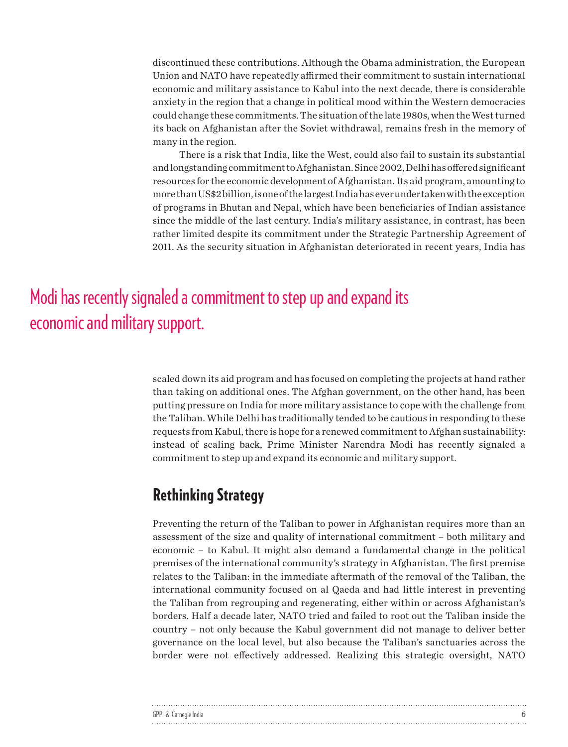discontinued these contributions. Although the Obama administration, the European Union and NATO have repeatedly affirmed their commitment to sustain international economic and military assistance to Kabul into the next decade, there is considerable anxiety in the region that a change in political mood within the Western democracies could change these commitments. The situation of the late 1980s, when the West turned its back on Afghanistan after the Soviet withdrawal, remains fresh in the memory of many in the region.

There is a risk that India, like the West, could also fail to sustain its substantial and longstanding commitment to Afghanistan. Since 2002, Delhi has offered significant resources for the economic development of Afghanistan. Its aid program, amounting to more than US\$2 billion, is one of the largest India has ever undertaken with the exception of programs in Bhutan and Nepal, which have been beneficiaries of Indian assistance since the middle of the last century. India's military assistance, in contrast, has been rather limited despite its commitment under the Strategic Partnership Agreement of 2011. As the security situation in Afghanistan deteriorated in recent years, India has

# Modi has recently signaled a commitment to step up and expand its economic and military support.

scaled down its aid program and has focused on completing the projects at hand rather than taking on additional ones. The Afghan government, on the other hand, has been putting pressure on India for more military assistance to cope with the challenge from the Taliban. While Delhi has traditionally tended to be cautious in responding to these requests from Kabul, there is hope for a renewed commitment to Afghan sustainability: instead of scaling back, Prime Minister Narendra Modi has recently signaled a commitment to step up and expand its economic and military support.

## Rethinking Strategy

Preventing the return of the Taliban to power in Afghanistan requires more than an assessment of the size and quality of international commitment – both military and economic – to Kabul. It might also demand a fundamental change in the political premises of the international community's strategy in Afghanistan. The first premise relates to the Taliban: in the immediate aftermath of the removal of the Taliban, the international community focused on al Qaeda and had little interest in preventing the Taliban from regrouping and regenerating, either within or across Afghanistan's borders. Half a decade later, NATO tried and failed to root out the Taliban inside the country – not only because the Kabul government did not manage to deliver better governance on the local level, but also because the Taliban's sanctuaries across the border were not effectively addressed. Realizing this strategic oversight, NATO

| GPPi & Carnegie India |  |
|-----------------------|--|
|                       |  |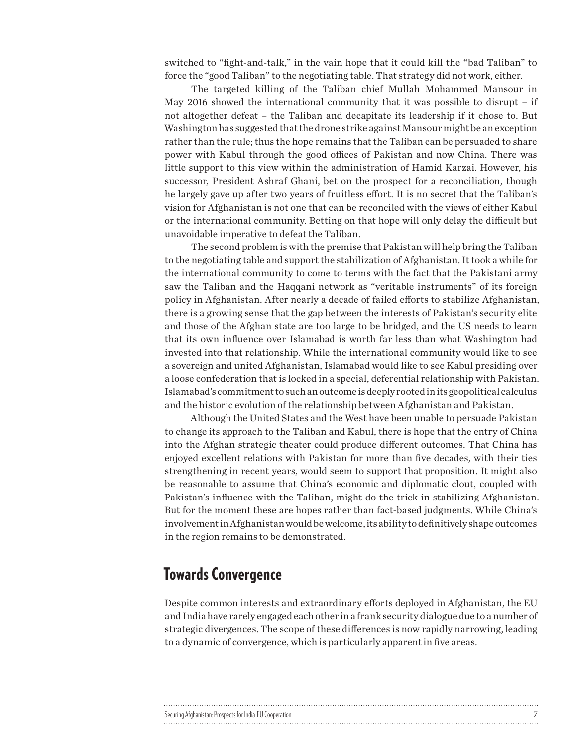switched to "fight-and-talk," in the vain hope that it could kill the "bad Taliban" to force the "good Taliban" to the negotiating table. That strategy did not work, either.

The targeted killing of the Taliban chief Mullah Mohammed Mansour in May 2016 showed the international community that it was possible to disrupt – if not altogether defeat – the Taliban and decapitate its leadership if it chose to. But Washington has suggested that the drone strike against Mansour might be an exception rather than the rule; thus the hope remains that the Taliban can be persuaded to share power with Kabul through the good offices of Pakistan and now China. There was little support to this view within the administration of Hamid Karzai. However, his successor, President Ashraf Ghani, bet on the prospect for a reconciliation, though he largely gave up after two years of fruitless effort. It is no secret that the Taliban's vision for Afghanistan is not one that can be reconciled with the views of either Kabul or the international community. Betting on that hope will only delay the difficult but unavoidable imperative to defeat the Taliban.

The second problem is with the premise that Pakistan will help bring the Taliban to the negotiating table and support the stabilization of Afghanistan. It took a while for the international community to come to terms with the fact that the Pakistani army saw the Taliban and the Haqqani network as "veritable instruments" of its foreign policy in Afghanistan. After nearly a decade of failed efforts to stabilize Afghanistan, there is a growing sense that the gap between the interests of Pakistan's security elite and those of the Afghan state are too large to be bridged, and the US needs to learn that its own influence over Islamabad is worth far less than what Washington had invested into that relationship. While the international community would like to see a sovereign and united Afghanistan, Islamabad would like to see Kabul presiding over a loose confederation that is locked in a special, deferential relationship with Pakistan. Islamabad's commitment to such an outcome is deeply rooted in its geopolitical calculus and the historic evolution of the relationship between Afghanistan and Pakistan.

Although the United States and the West have been unable to persuade Pakistan to change its approach to the Taliban and Kabul, there is hope that the entry of China into the Afghan strategic theater could produce different outcomes. That China has enjoyed excellent relations with Pakistan for more than five decades, with their ties strengthening in recent years, would seem to support that proposition. It might also be reasonable to assume that China's economic and diplomatic clout, coupled with Pakistan's influence with the Taliban, might do the trick in stabilizing Afghanistan. But for the moment these are hopes rather than fact-based judgments. While China's involvement in Afghanistan would be welcome, its ability to definitively shape outcomes in the region remains to be demonstrated.

### Towards Convergence

Despite common interests and extraordinary efforts deployed in Afghanistan, the EU and India have rarely engaged each other in a frank security dialogue due to a number of strategic divergences. The scope of these differences is now rapidly narrowing, leading to a dynamic of convergence, which is particularly apparent in five areas.

| Securing Afghanistan: Prospects for India-EU Cooperation |  |
|----------------------------------------------------------|--|
|                                                          |  |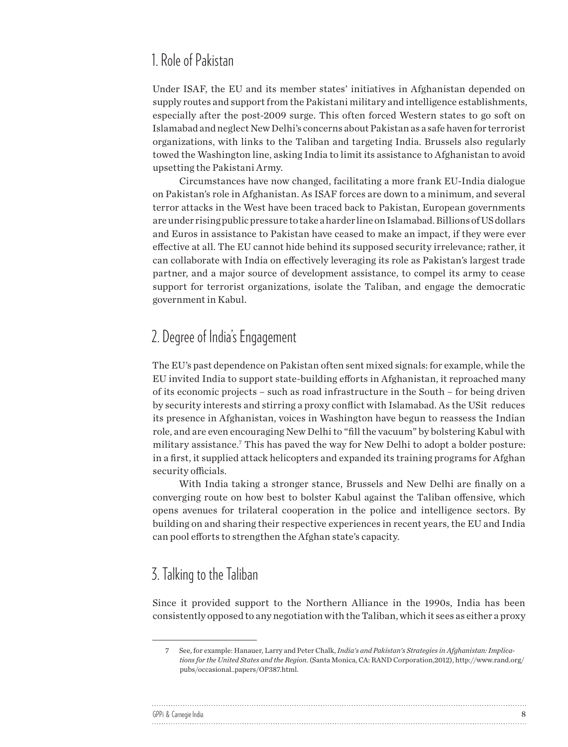### 1. Role of Pakistan

Under ISAF, the EU and its member states' initiatives in Afghanistan depended on supply routes and support from the Pakistani military and intelligence establishments, especially after the post-2009 surge. This often forced Western states to go soft on Islamabad and neglect New Delhi's concerns about Pakistan as a safe haven for terrorist organizations, with links to the Taliban and targeting India. Brussels also regularly towed the Washington line, asking India to limit its assistance to Afghanistan to avoid upsetting the Pakistani Army.

Circumstances have now changed, facilitating a more frank EU-India dialogue on Pakistan's role in Afghanistan. As ISAF forces are down to a minimum, and several terror attacks in the West have been traced back to Pakistan, European governments are under rising public pressure to take a harder line on Islamabad. Billions of US dollars and Euros in assistance to Pakistan have ceased to make an impact, if they were ever effective at all. The EU cannot hide behind its supposed security irrelevance; rather, it can collaborate with India on effectively leveraging its role as Pakistan's largest trade partner, and a major source of development assistance, to compel its army to cease support for terrorist organizations, isolate the Taliban, and engage the democratic government in Kabul.

### 2. Degree of India's Engagement

The EU's past dependence on Pakistan often sent mixed signals: for example, while the EU invited India to support state-building efforts in Afghanistan, it reproached many of its economic projects – such as road infrastructure in the South – for being driven by security interests and stirring a proxy conflict with Islamabad. As the USit reduces its presence in Afghanistan, voices in Washington have begun to reassess the Indian role, and are even encouraging New Delhi to "fill the vacuum" by bolstering Kabul with military assistance.7 This has paved the way for New Delhi to adopt a bolder posture: in a first, it supplied attack helicopters and expanded its training programs for Afghan security officials.

With India taking a stronger stance, Brussels and New Delhi are finally on a converging route on how best to bolster Kabul against the Taliban offensive, which opens avenues for trilateral cooperation in the police and intelligence sectors. By building on and sharing their respective experiences in recent years, the EU and India can pool efforts to strengthen the Afghan state's capacity.

### 3. Talking to the Taliban

 $\ddot{\phantom{a}}$ 

Since it provided support to the Northern Alliance in the 1990s, India has been consistently opposed to any negotiation with the Taliban, which it sees as either a proxy

| GPPi & Carnegie India |  |
|-----------------------|--|
|                       |  |

<sup>7</sup> See, for example: Hanauer, Larry and Peter Chalk, *India's and Pakistan's Strategies in Afghanistan: Implications for the United States and the Region*. (Santa Monica, CA: RAND Corporation,2012), http://www.rand.org/ pubs/occasional\_papers/OP387.html.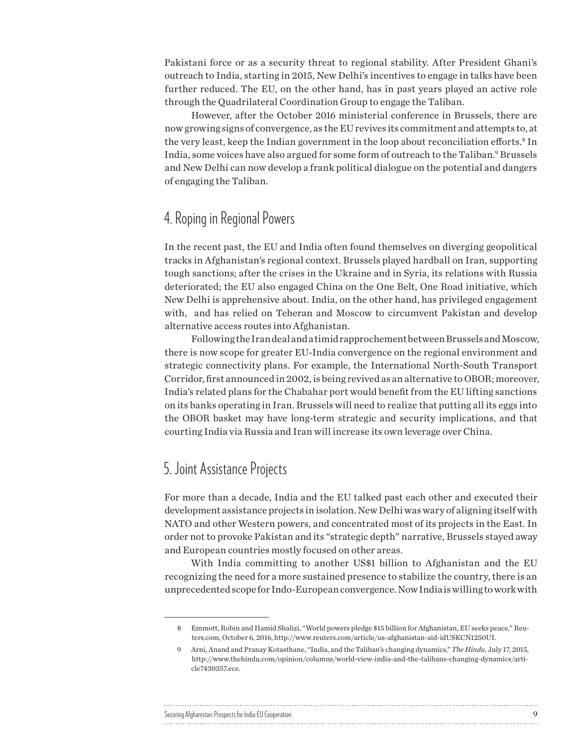Pakistani force or as a security threat to regional stability. After President Ghani's outreach to India, starting in 2015, New Delhi's incentives to engage in talks have been further reduced. The EU, on the other hand, has in past years played an active role through the Quadrilateral Coordination Group to engage the Taliban.

However, after the October 2016 ministerial conference in Brussels, there are now growing signs of convergence, as the EU revives its commitment and attempts to, at the very least, keep the Indian government in the loop about reconciliation efforts.<sup>8</sup> In India, some voices have also argued for some form of outreach to the Taliban.<sup>9</sup> Brussels and New Delhi can now develop a frank political dialogue on the potential and dangers of engaging the Taliban.

## 4. Roping in Regional Powers

In the recent past, the EU and India often found themselves on diverging geopolitical tracks in Afghanistan's regional context. Brussels played hardball on Iran, supporting tough sanctions; after the crises in the Ukraine and in Syria, its relations with Russia deteriorated; the EU also engaged China on the One Belt, One Road initiative, which New Delhi is apprehensive about. India, on the other hand, has privileged engagement with, and has relied on Teheran and Moscow to circumvent Pakistan and develop alternative access routes into Afghanistan.

Following the Iran deal and a timid rapprochement between Brussels and Moscow, there is now scope for greater EU-India convergence on the regional environment and strategic connectivity plans. For example, the International North-South Transport Corridor, first announced in 2002, is being revived as an alternative to OBOR; moreover, India's related plans for the Chabahar port would benefit from the EU lifting sanctions on its banks operating in Iran. Brussels will need to realize that putting all its eggs into the OBOR basket may have long-term strategic and security implications, and that courting India via Russia and Iran will increase its own leverage over China.

# 5. Joint Assistance Projects

For more than a decade, India and the EU talked past each other and executed their development assistance projects in isolation. New Delhi was wary of aligning itself with NATO and other Western powers, and concentrated most of its projects in the East. In order not to provoke Pakistan and its "strategic depth" narrative, Brussels stayed away and European countries mostly focused on other areas.

With India committing to another US\$1 billion to Afghanistan and the EU recognizing the need for a more sustained presence to stabilize the country, there is an unprecedented scope for Indo-European convergence. Now India is willing to work with

### Securing Afghanistan: Prospects for India-EU Cooperation 9

<sup>8</sup> Emmott, Robin and Hamid Shalizi, "World powers pledge \$15 billion for Afghanistan, EU seeks peace," Reuters.com, October 6, 2016, http://www.reuters.com/article/us-afghanistan-aid-idUSKCN1250UI.

<sup>9</sup> Arni, Anand and Pranay Kotasthane, "India, and the Taliban's changing dynamics," *The Hindu*, July 17, 2015, http://www.thehindu.com/opinion/columns/world-view-india-and-the-talibans-changing-dynamics/article7430357.ece.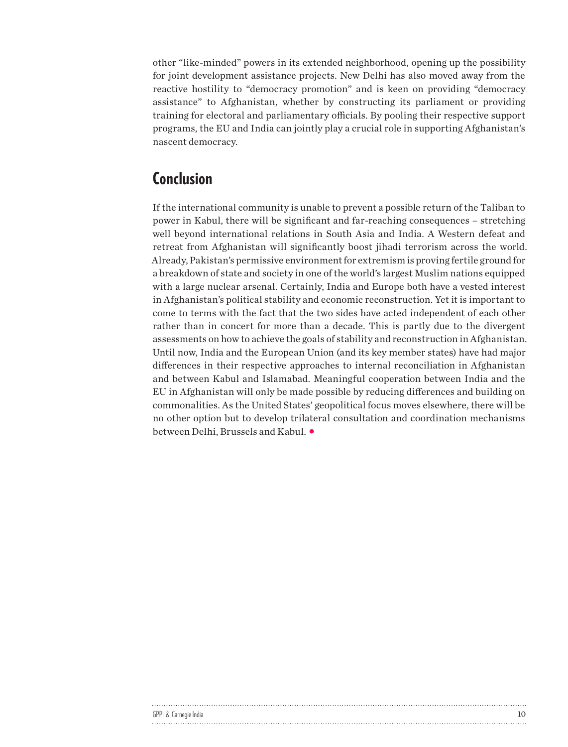other "like-minded" powers in its extended neighborhood, opening up the possibility for joint development assistance projects. New Delhi has also moved away from the reactive hostility to "democracy promotion" and is keen on providing "democracy assistance" to Afghanistan, whether by constructing its parliament or providing training for electoral and parliamentary officials. By pooling their respective support programs, the EU and India can jointly play a crucial role in supporting Afghanistan's nascent democracy.

# Conclusion

If the international community is unable to prevent a possible return of the Taliban to power in Kabul, there will be significant and far-reaching consequences – stretching well beyond international relations in South Asia and India. A Western defeat and retreat from Afghanistan will significantly boost jihadi terrorism across the world. Already, Pakistan's permissive environment for extremism is proving fertile ground for a breakdown of state and society in one of the world's largest Muslim nations equipped with a large nuclear arsenal. Certainly, India and Europe both have a vested interest in Afghanistan's political stability and economic reconstruction. Yet it is important to come to terms with the fact that the two sides have acted independent of each other rather than in concert for more than a decade. This is partly due to the divergent assessments on how to achieve the goals of stability and reconstruction in Afghanistan. Until now, India and the European Union (and its key member states) have had major differences in their respective approaches to internal reconciliation in Afghanistan and between Kabul and Islamabad. Meaningful cooperation between India and the EU in Afghanistan will only be made possible by reducing differences and building on commonalities. As the United States' geopolitical focus moves elsewhere, there will be no other option but to develop trilateral consultation and coordination mechanisms between Delhi, Brussels and Kabul.

| GPPi & Carnegie India |  |
|-----------------------|--|
|                       |  |